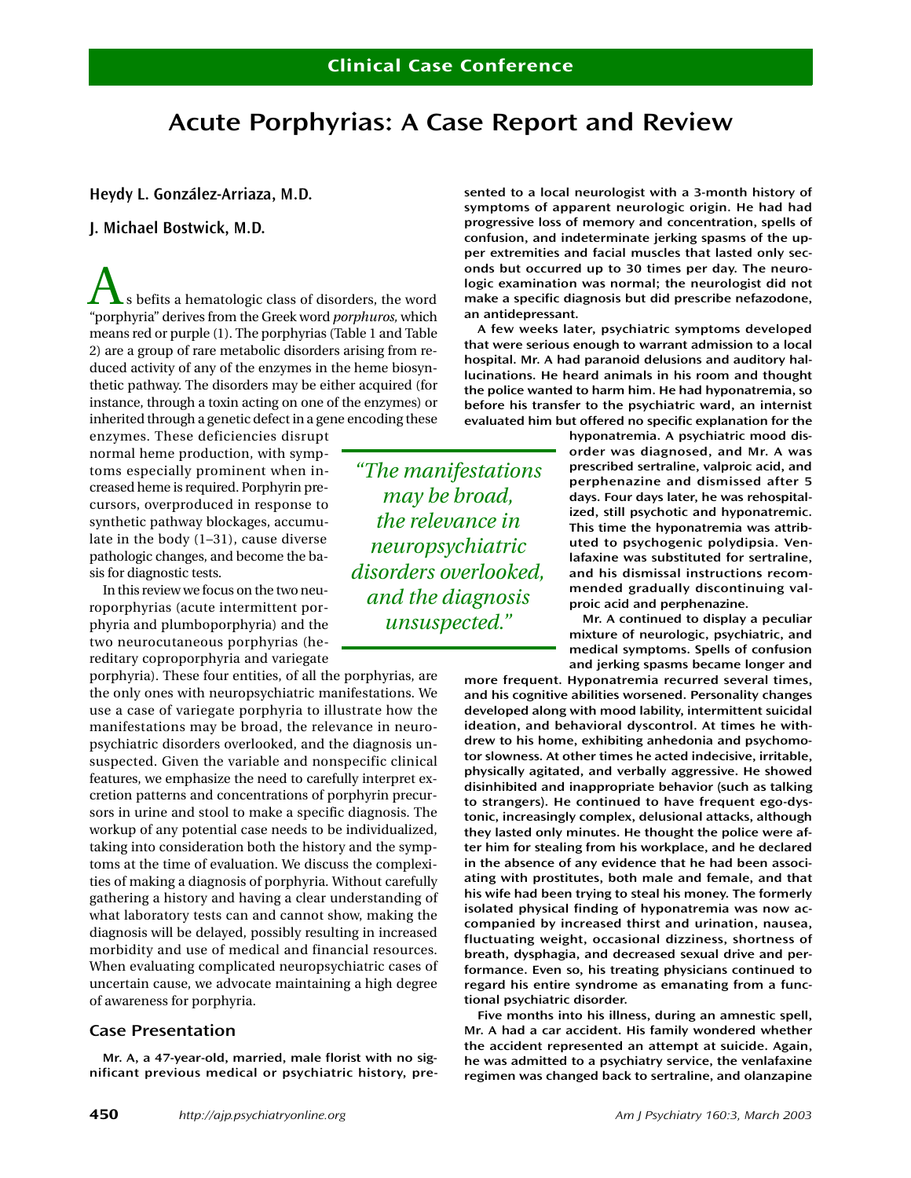# **Acute Porphyrias: A Case Report and Review**

**Heydy L. González-Arriaza, M.D.**

# **J. Michael Bostwick, M.D.**

s befits a hematologic class of disorders, the word "porphyria" derives from the Greek word *porphuros,* which means red or purple (1). The porphyrias (Table 1 and Table 2) are a group of rare metabolic disorders arising from reduced activity of any of the enzymes in the heme biosynthetic pathway. The disorders may be either acquired (for instance, through a toxin acting on one of the enzymes) or inherited through a genetic defect in a gene encoding these

enzymes. These deficiencies disrupt normal heme production, with symptoms especially prominent when increased heme is required. Porphyrin precursors, overproduced in response to synthetic pathway blockages, accumulate in the body (1–31), cause diverse pathologic changes, and become the basis for diagnostic tests.

In this review we focus on the two neuroporphyrias (acute intermittent porphyria and plumboporphyria) and the two neurocutaneous porphyrias (hereditary coproporphyria and variegate

porphyria). These four entities, of all the porphyrias, are the only ones with neuropsychiatric manifestations. We use a case of variegate porphyria to illustrate how the manifestations may be broad, the relevance in neuropsychiatric disorders overlooked, and the diagnosis unsuspected. Given the variable and nonspecific clinical features, we emphasize the need to carefully interpret excretion patterns and concentrations of porphyrin precursors in urine and stool to make a specific diagnosis. The workup of any potential case needs to be individualized, taking into consideration both the history and the symptoms at the time of evaluation. We discuss the complexities of making a diagnosis of porphyria. Without carefully gathering a history and having a clear understanding of what laboratory tests can and cannot show, making the diagnosis will be delayed, possibly resulting in increased morbidity and use of medical and financial resources. When evaluating complicated neuropsychiatric cases of uncertain cause, we advocate maintaining a high degree of awareness for porphyria.

# **Case Presentation**

**Mr. A, a 47-year-old, married, male florist with no significant previous medical or psychiatric history, pre-** **sented to a local neurologist with a 3-month history of symptoms of apparent neurologic origin. He had had progressive loss of memory and concentration, spells of confusion, and indeterminate jerking spasms of the upper extremities and facial muscles that lasted only seconds but occurred up to 30 times per day. The neurologic examination was normal; the neurologist did not make a specific diagnosis but did prescribe nefazodone, an antidepressant.**

**A few weeks later, psychiatric symptoms developed that were serious enough to warrant admission to a local hospital. Mr. A had paranoid delusions and auditory hallucinations. He heard animals in his room and thought the police wanted to harm him. He had hyponatremia, so before his transfer to the psychiatric ward, an internist evaluated him but offered no specific explanation for the**

> **hyponatremia. A psychiatric mood disorder was diagnosed, and Mr. A was prescribed sertraline, valproic acid, and perphenazine and dismissed after 5 days. Four days later, he was rehospitalized, still psychotic and hyponatremic. This time the hyponatremia was attributed to psychogenic polydipsia. Venlafaxine was substituted for sertraline, and his dismissal instructions recommended gradually discontinuing valproic acid and perphenazine.**

> **Mr. A continued to display a peculiar mixture of neurologic, psychiatric, and medical symptoms. Spells of confusion and jerking spasms became longer and**

**more frequent. Hyponatremia recurred several times, and his cognitive abilities worsened. Personality changes developed along with mood lability, intermittent suicidal ideation, and behavioral dyscontrol. At times he withdrew to his home, exhibiting anhedonia and psychomotor slowness. At other times he acted indecisive, irritable, physically agitated, and verbally aggressive. He showed disinhibited and inappropriate behavior (such as talking to strangers). He continued to have frequent ego-dystonic, increasingly complex, delusional attacks, although they lasted only minutes. He thought the police were after him for stealing from his workplace, and he declared in the absence of any evidence that he had been associating with prostitutes, both male and female, and that his wife had been trying to steal his money. The formerly isolated physical finding of hyponatremia was now accompanied by increased thirst and urination, nausea, fluctuating weight, occasional dizziness, shortness of breath, dysphagia, and decreased sexual drive and performance. Even so, his treating physicians continued to regard his entire syndrome as emanating from a functional psychiatric disorder.**

**Five months into his illness, during an amnestic spell, Mr. A had a car accident. His family wondered whether the accident represented an attempt at suicide. Again, he was admitted to a psychiatry service, the venlafaxine regimen was changed back to sertraline, and olanzapine**

*"The manifestations may be broad, the relevance in neuropsychiatric disorders overlooked, and the diagnosis unsuspected."*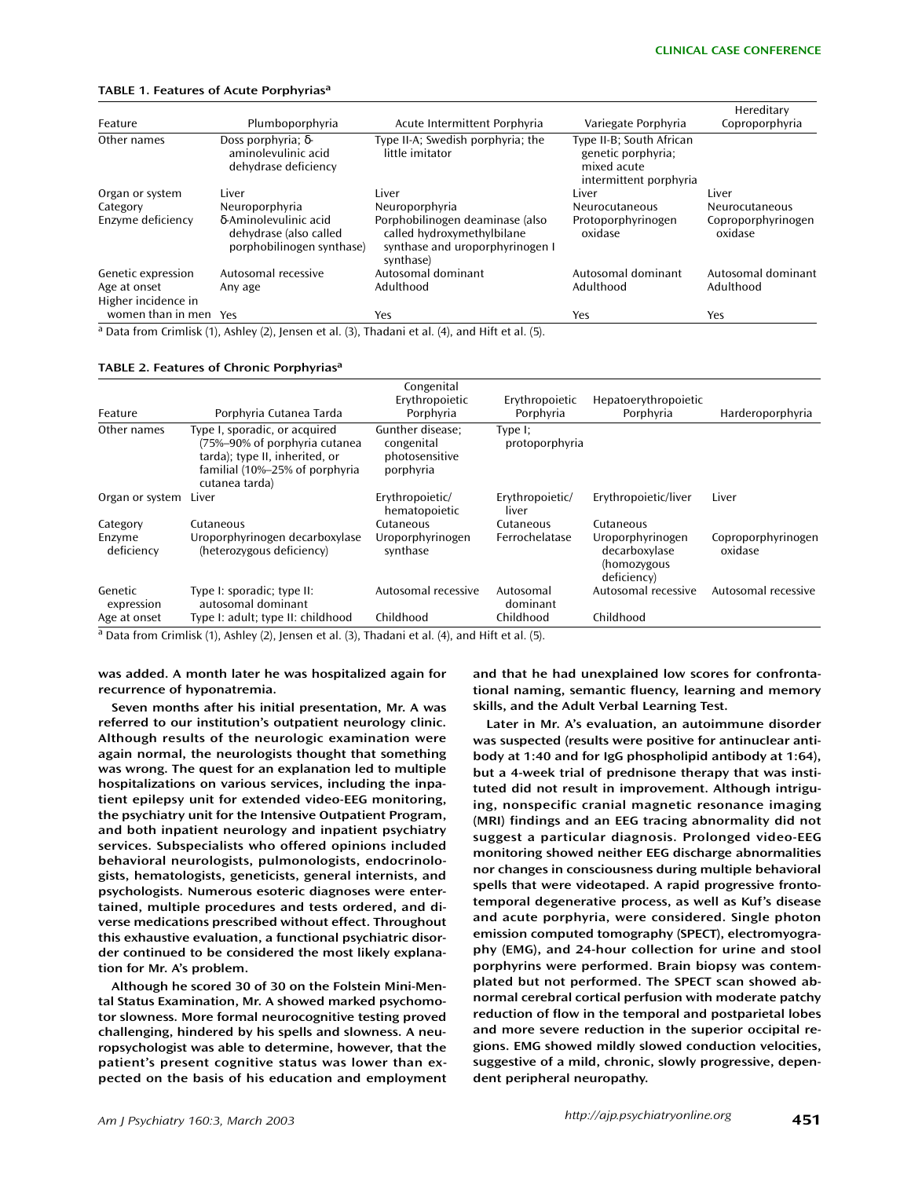#### **TABLE 1. Features of Acute Porphyrias<sup>a</sup>**

| Feature                             | Plumboporphyria                                                              | Acute Intermittent Porphyria                                                                                  | Variegate Porphyria                                                                     | Hereditary<br>Coproporphyria  |
|-------------------------------------|------------------------------------------------------------------------------|---------------------------------------------------------------------------------------------------------------|-----------------------------------------------------------------------------------------|-------------------------------|
| Other names                         | Doss porphyria; $\delta$ -<br>aminolevulinic acid<br>dehydrase deficiency    | Type II-A; Swedish porphyria; the<br>little imitator                                                          | Type II-B; South African<br>genetic porphyria;<br>mixed acute<br>intermittent porphyria |                               |
| Organ or system                     | Liver                                                                        | Liver                                                                                                         | Liver                                                                                   | Liver                         |
| Category                            | Neuroporphyria                                                               | Neuroporphyria                                                                                                | <b>Neurocutaneous</b>                                                                   | Neurocutaneous                |
| Enzyme deficiency                   | δ-Aminolevulinic acid<br>dehydrase (also called<br>porphobilinogen synthase) | Porphobilinogen deaminase (also<br>called hydroxymethylbilane<br>synthase and uroporphyrinogen I<br>synthase) | Protoporphyrinogen<br>oxidase                                                           | Coproporphyrinogen<br>oxidase |
| Genetic expression                  | Autosomal recessive                                                          | Autosomal dominant                                                                                            | Autosomal dominant                                                                      | Autosomal dominant            |
| Age at onset<br>Higher incidence in | Any age                                                                      | Adulthood                                                                                                     | Adulthood                                                                               | Adulthood                     |
| women than in men                   | Yes                                                                          | Yes                                                                                                           | Yes                                                                                     | Yes                           |

<sup>a</sup> Data from Crimlisk (1), Ashley (2), Jensen et al. (3), Thadani et al. (4), and Hift et al. (5).

#### **TABLE 2. Features of Chronic Porphyrias<sup>a</sup>**

| Feature               | Porphyria Cutanea Tarda                                                                                                                              | Congenital<br>Erythropoietic<br>Porphyria                     | Erythropoietic<br>Porphyria  | Hepatoerythropoietic<br>Porphyria                               | Harderoporphyria              |
|-----------------------|------------------------------------------------------------------------------------------------------------------------------------------------------|---------------------------------------------------------------|------------------------------|-----------------------------------------------------------------|-------------------------------|
| Other names           | Type I, sporadic, or acquired<br>(75%-90% of porphyria cutanea<br>tarda); type II, inherited, or<br>familial (10%-25% of porphyria<br>cutanea tarda) | Gunther disease:<br>congenital<br>photosensitive<br>porphyria | Type $I$ ;<br>protoporphyria |                                                                 |                               |
| Organ or system       | Liver                                                                                                                                                | Erythropoietic/<br>hematopoietic                              | Erythropoietic/<br>liver     | Erythropoietic/liver                                            | Liver                         |
| Category              | Cutaneous                                                                                                                                            | Cutaneous                                                     | Cutaneous                    | Cutaneous                                                       |                               |
| Enzyme<br>deficiency  | Uroporphyrinogen decarboxylase<br>(heterozygous deficiency)                                                                                          | Uroporphyrinogen<br>synthase                                  | Ferrochelatase               | Uroporphyrinogen<br>decarboxylase<br>(homozygous<br>deficiency) | Coproporphyrinogen<br>oxidase |
| Genetic<br>expression | Type I: sporadic; type II:<br>autosomal dominant                                                                                                     | Autosomal recessive                                           | Autosomal<br>dominant        | Autosomal recessive                                             | Autosomal recessive           |
| Age at onset          | Type I: adult; type II: childhood                                                                                                                    | Childhood                                                     | Childhood                    | Childhood                                                       |                               |

<sup>a</sup> Data from Crimlisk (1), Ashley (2), Jensen et al. (3), Thadani et al. (4), and Hift et al. (5).

**was added. A month later he was hospitalized again for recurrence of hyponatremia.**

**Seven months after his initial presentation, Mr. A was referred to our institution's outpatient neurology clinic. Although results of the neurologic examination were again normal, the neurologists thought that something was wrong. The quest for an explanation led to multiple hospitalizations on various services, including the inpatient epilepsy unit for extended video-EEG monitoring, the psychiatry unit for the Intensive Outpatient Program, and both inpatient neurology and inpatient psychiatry services. Subspecialists who offered opinions included behavioral neurologists, pulmonologists, endocrinologists, hematologists, geneticists, general internists, and psychologists. Numerous esoteric diagnoses were entertained, multiple procedures and tests ordered, and diverse medications prescribed without effect. Throughout this exhaustive evaluation, a functional psychiatric disorder continued to be considered the most likely explanation for Mr. A's problem.**

**Although he scored 30 of 30 on the Folstein Mini-Mental Status Examination, Mr. A showed marked psychomotor slowness. More formal neurocognitive testing proved challenging, hindered by his spells and slowness. A neuropsychologist was able to determine, however, that the patient's present cognitive status was lower than expected on the basis of his education and employment**

**and that he had unexplained low scores for confrontational naming, semantic fluency, learning and memory skills, and the Adult Verbal Learning Test.**

**Later in Mr. A's evaluation, an autoimmune disorder was suspected (results were positive for antinuclear antibody at 1:40 and for IgG phospholipid antibody at 1:64), but a 4-week trial of prednisone therapy that was instituted did not result in improvement. Although intriguing, nonspecific cranial magnetic resonance imaging (MRI) findings and an EEG tracing abnormality did not suggest a particular diagnosis. Prolonged video-EEG monitoring showed neither EEG discharge abnormalities nor changes in consciousness during multiple behavioral spells that were videotaped. A rapid progressive frontotemporal degenerative process, as well as Kuf's disease and acute porphyria, were considered. Single photon emission computed tomography (SPECT), electromyography (EMG), and 24-hour collection for urine and stool porphyrins were performed. Brain biopsy was contemplated but not performed. The SPECT scan showed abnormal cerebral cortical perfusion with moderate patchy reduction of flow in the temporal and postparietal lobes and more severe reduction in the superior occipital regions. EMG showed mildly slowed conduction velocities, suggestive of a mild, chronic, slowly progressive, dependent peripheral neuropathy.**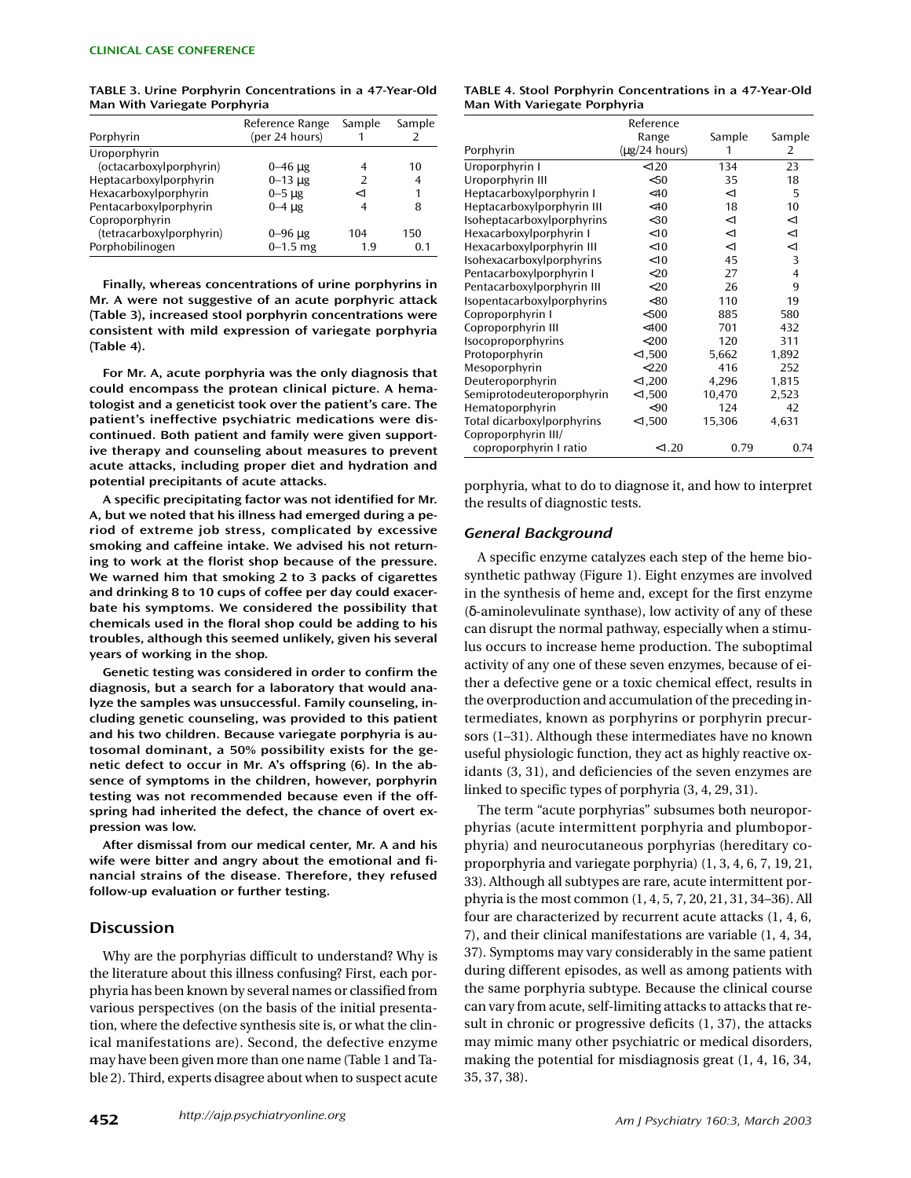**TABLE 3. Urine Porphyrin Concentrations in a 47-Year-Old Man With Variegate Porphyria**

| Porphyrin                | Reference Range<br>(per 24 hours) | Sample | Sample |
|--------------------------|-----------------------------------|--------|--------|
| Uroporphyrin             |                                   |        |        |
| (octacarboxylporphyrin)  | $0 - 46 \mu g$                    | 4      | 10     |
| Heptacarboxylporphyrin   | $0 - 13 \mu g$                    |        | 4      |
| Hexacarboxylporphyrin    | $0-5 \mu g$                       | ە-     | 1      |
| Pentacarboxylporphyrin   | $0-4$ ug                          | 4      | 8      |
| Coproporphyrin           |                                   |        |        |
| (tetracarboxylporphyrin) | $0 - 96 \mu g$                    | 104    | 150    |
| Porphobilinogen          | $0 - 1.5$ mg                      | 1.9    | 0.1    |

**Finally, whereas concentrations of urine porphyrins in Mr. A were not suggestive of an acute porphyric attack (Table 3), increased stool porphyrin concentrations were consistent with mild expression of variegate porphyria (Table 4).**

**For Mr. A, acute porphyria was the only diagnosis that could encompass the protean clinical picture. A hematologist and a geneticist took over the patient's care. The patient's ineffective psychiatric medications were discontinued. Both patient and family were given supportive therapy and counseling about measures to prevent acute attacks, including proper diet and hydration and potential precipitants of acute attacks.**

**A specific precipitating factor was not identified for Mr. A, but we noted that his illness had emerged during a period of extreme job stress, complicated by excessive smoking and caffeine intake. We advised his not returning to work at the florist shop because of the pressure. We warned him that smoking 2 to 3 packs of cigarettes and drinking 8 to 10 cups of coffee per day could exacerbate his symptoms. We considered the possibility that chemicals used in the floral shop could be adding to his troubles, although this seemed unlikely, given his several years of working in the shop.**

**Genetic testing was considered in order to confirm the diagnosis, but a search for a laboratory that would analyze the samples was unsuccessful. Family counseling, including genetic counseling, was provided to this patient and his two children. Because variegate porphyria is autosomal dominant, a 50% possibility exists for the genetic defect to occur in Mr. A's offspring (6). In the absence of symptoms in the children, however, porphyrin testing was not recommended because even if the offspring had inherited the defect, the chance of overt expression was low.**

**After dismissal from our medical center, Mr. A and his wife were bitter and angry about the emotional and financial strains of the disease. Therefore, they refused follow-up evaluation or further testing.**

## **Discussion**

Why are the porphyrias difficult to understand? Why is the literature about this illness confusing? First, each porphyria has been known by several names or classified from various perspectives (on the basis of the initial presentation, where the defective synthesis site is, or what the clinical manifestations are). Second, the defective enzyme may have been given more than one name (Table 1 and Table 2). Third, experts disagree about when to suspect acute

#### **TABLE 4. Stool Porphyrin Concentrations in a 47-Year-Old Man With Variegate Porphyria**

|                            | Reference                  |        |        |
|----------------------------|----------------------------|--------|--------|
|                            | Range                      | Sample | Sample |
| Porphyrin                  | $(\mu g/24 \text{ hours})$ | 1      | 2      |
| Uroporphyrin I             | < 120                      | 134    | 23     |
| Uroporphyrin III           | < 50                       | 35     | 18     |
| Heptacarboxylporphyrin I   | <40                        | $<$ 1  | 5      |
| Heptacarboxylporphyrin III | $<$ 40                     | 18     | 10     |
| Isoheptacarboxylporphyrins | $30$                       | $<$ 1  | $<$ 1  |
| Hexacarboxylporphyrin I    | $<$ 10                     | $<$ 1  | $<$ 1  |
| Hexacarboxylporphyrin III  | $<$ 10                     | $<$ 1  | $<$ 1  |
| Isohexacarboxylporphyrins  | $<$ 10                     | 45     | 3      |
| Pentacarboxylporphyrin I   | $<$ 20                     | 27     | 4      |
| Pentacarboxylporphyrin III | $<$ 20                     | 26     | 9      |
| Isopentacarboxylporphyrins | < 80                       | 110    | 19     |
| Coproporphyrin I           | < 500                      | 885    | 580    |
| Coproporphyrin III         | $<$ 400                    | 701    | 432    |
| <b>Isocoproporphyrins</b>  | $<$ 200                    | 120    | 311    |
| Protoporphyrin             | < 1,500                    | 5,662  | 1,892  |
| Mesoporphyrin              | 220                        | 416    | 252    |
| Deuteroporphyrin           | < 1,200                    | 4,296  | 1,815  |
| Semiprotodeuteroporphyrin  | < 1,500                    | 10,470 | 2,523  |
| Hematoporphyrin            | $90$                       | 124    | 42     |
| Total dicarboxylporphyrins | < 1,500                    | 15,306 | 4,631  |
| Coproporphyrin III/        |                            |        |        |
| coproporphyrin I ratio     | < 1.20                     | 0.79   | 0.74   |

porphyria, what to do to diagnose it, and how to interpret the results of diagnostic tests.

#### *General Background*

A specific enzyme catalyzes each step of the heme biosynthetic pathway (Figure 1). Eight enzymes are involved in the synthesis of heme and, except for the first enzyme (δ-aminolevulinate synthase), low activity of any of these can disrupt the normal pathway, especially when a stimulus occurs to increase heme production. The suboptimal activity of any one of these seven enzymes, because of either a defective gene or a toxic chemical effect, results in the overproduction and accumulation of the preceding intermediates, known as porphyrins or porphyrin precursors (1–31). Although these intermediates have no known useful physiologic function, they act as highly reactive oxidants (3, 31), and deficiencies of the seven enzymes are linked to specific types of porphyria (3, 4, 29, 31).

The term "acute porphyrias" subsumes both neuroporphyrias (acute intermittent porphyria and plumboporphyria) and neurocutaneous porphyrias (hereditary coproporphyria and variegate porphyria) (1, 3, 4, 6, 7, 19, 21, 33). Although all subtypes are rare, acute intermittent porphyria is the most common (1, 4, 5, 7, 20, 21, 31, 34–36). All four are characterized by recurrent acute attacks (1, 4, 6, 7), and their clinical manifestations are variable (1, 4, 34, 37). Symptoms may vary considerably in the same patient during different episodes, as well as among patients with the same porphyria subtype. Because the clinical course can vary from acute, self-limiting attacks to attacks that result in chronic or progressive deficits (1, 37), the attacks may mimic many other psychiatric or medical disorders, making the potential for misdiagnosis great (1, 4, 16, 34, 35, 37, 38).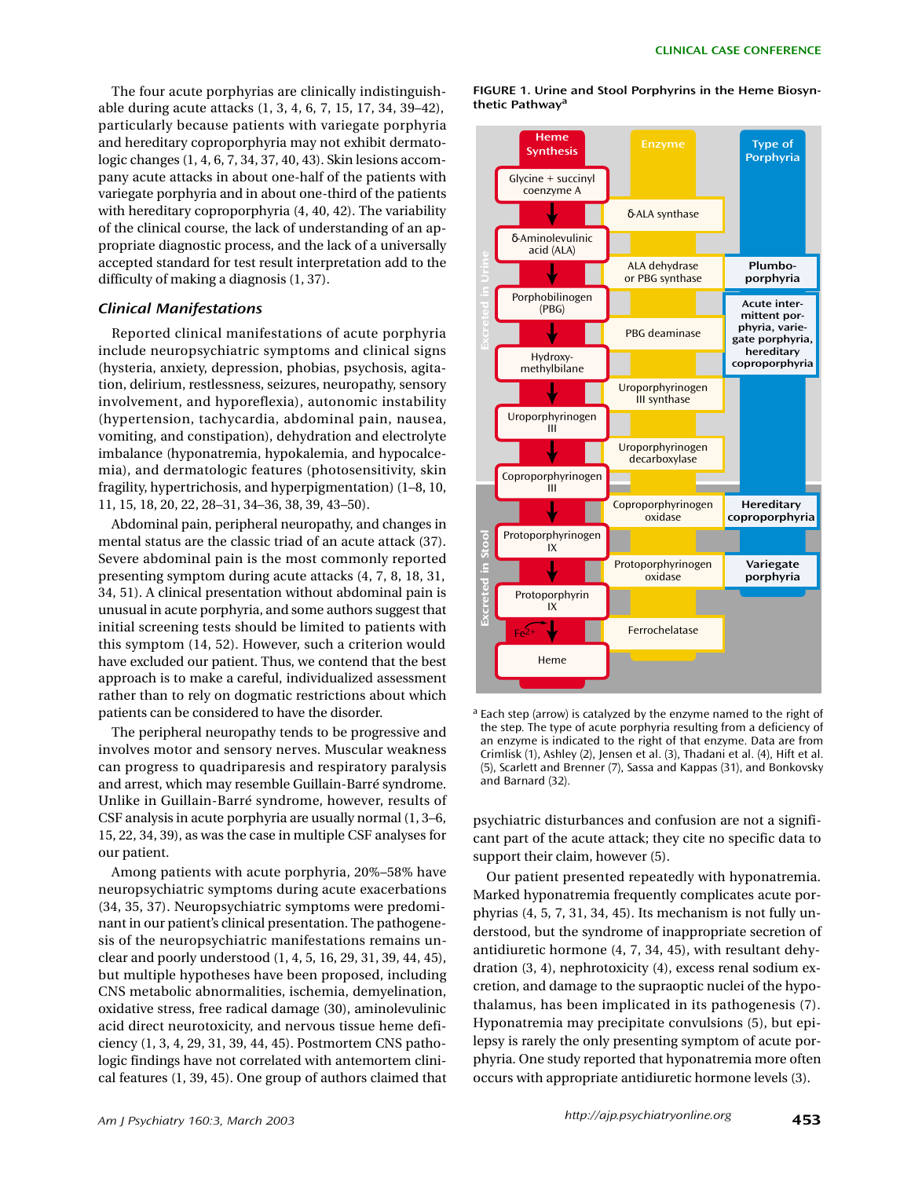The four acute porphyrias are clinically indistinguishable during acute attacks (1, 3, 4, 6, 7, 15, 17, 34, 39–42), particularly because patients with variegate porphyria and hereditary coproporphyria may not exhibit dermatologic changes (1, 4, 6, 7, 34, 37, 40, 43). Skin lesions accompany acute attacks in about one-half of the patients with variegate porphyria and in about one-third of the patients with hereditary coproporphyria (4, 40, 42). The variability of the clinical course, the lack of understanding of an appropriate diagnostic process, and the lack of a universally accepted standard for test result interpretation add to the difficulty of making a diagnosis (1, 37).

## *Clinical Manifestations*

Reported clinical manifestations of acute porphyria include neuropsychiatric symptoms and clinical signs (hysteria, anxiety, depression, phobias, psychosis, agitation, delirium, restlessness, seizures, neuropathy, sensory involvement, and hyporeflexia), autonomic instability (hypertension, tachycardia, abdominal pain, nausea, vomiting, and constipation), dehydration and electrolyte imbalance (hyponatremia, hypokalemia, and hypocalcemia), and dermatologic features (photosensitivity, skin fragility, hypertrichosis, and hyperpigmentation) (1–8, 10, 11, 15, 18, 20, 22, 28–31, 34–36, 38, 39, 43–50).

Abdominal pain, peripheral neuropathy, and changes in mental status are the classic triad of an acute attack (37). Severe abdominal pain is the most commonly reported presenting symptom during acute attacks (4, 7, 8, 18, 31, 34, 51). A clinical presentation without abdominal pain is unusual in acute porphyria, and some authors suggest that initial screening tests should be limited to patients with this symptom (14, 52). However, such a criterion would have excluded our patient. Thus, we contend that the best approach is to make a careful, individualized assessment rather than to rely on dogmatic restrictions about which patients can be considered to have the disorder.

The peripheral neuropathy tends to be progressive and involves motor and sensory nerves. Muscular weakness can progress to quadriparesis and respiratory paralysis and arrest, which may resemble Guillain-Barré syndrome. Unlike in Guillain-Barré syndrome, however, results of CSF analysis in acute porphyria are usually normal (1, 3–6, 15, 22, 34, 39), as was the case in multiple CSF analyses for our patient.

Among patients with acute porphyria, 20%–58% have neuropsychiatric symptoms during acute exacerbations (34, 35, 37). Neuropsychiatric symptoms were predominant in our patient's clinical presentation. The pathogenesis of the neuropsychiatric manifestations remains unclear and poorly understood (1, 4, 5, 16, 29, 31, 39, 44, 45), but multiple hypotheses have been proposed, including CNS metabolic abnormalities, ischemia, demyelination, oxidative stress, free radical damage (30), aminolevulinic acid direct neurotoxicity, and nervous tissue heme deficiency (1, 3, 4, 29, 31, 39, 44, 45). Postmortem CNS pathologic findings have not correlated with antemortem clinical features (1, 39, 45). One group of authors claimed that **FIGURE 1. Urine and Stool Porphyrins in the Heme Biosynthetic Pathway<sup>a</sup>**



<sup>a</sup> Each step (arrow) is catalyzed by the enzyme named to the right of the step. The type of acute porphyria resulting from a deficiency of an enzyme is indicated to the right of that enzyme. Data are from Crimlisk (1), Ashley (2), Jensen et al. (3), Thadani et al. (4), Hift et al. (5), Scarlett and Brenner (7), Sassa and Kappas (31), and Bonkovsky and Barnard (32).

psychiatric disturbances and confusion are not a significant part of the acute attack; they cite no specific data to support their claim, however (5).

Our patient presented repeatedly with hyponatremia. Marked hyponatremia frequently complicates acute porphyrias (4, 5, 7, 31, 34, 45). Its mechanism is not fully understood, but the syndrome of inappropriate secretion of antidiuretic hormone (4, 7, 34, 45), with resultant dehydration (3, 4), nephrotoxicity (4), excess renal sodium excretion, and damage to the supraoptic nuclei of the hypothalamus, has been implicated in its pathogenesis (7). Hyponatremia may precipitate convulsions (5), but epilepsy is rarely the only presenting symptom of acute porphyria. One study reported that hyponatremia more often occurs with appropriate antidiuretic hormone levels (3).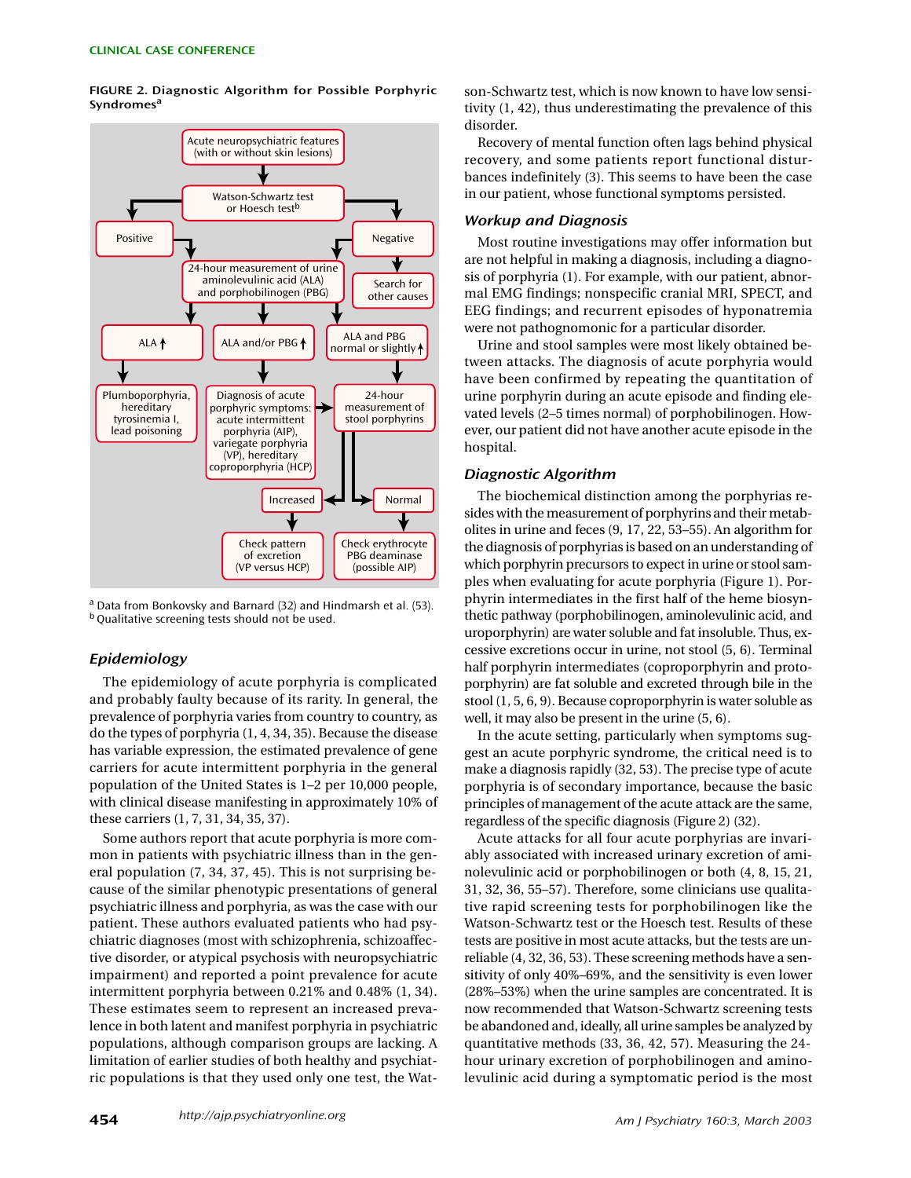

**FIGURE 2. Diagnostic Algorithm for Possible Porphyric Syndromes<sup>a</sup>**

<sup>a</sup> Data from Bonkovsky and Barnard (32) and Hindmarsh et al. (53). <sup>b</sup> Qualitative screening tests should not be used.

#### *Epidemiology*

The epidemiology of acute porphyria is complicated and probably faulty because of its rarity. In general, the prevalence of porphyria varies from country to country, as do the types of porphyria (1, 4, 34, 35). Because the disease has variable expression, the estimated prevalence of gene carriers for acute intermittent porphyria in the general population of the United States is 1–2 per 10,000 people, with clinical disease manifesting in approximately 10% of these carriers (1, 7, 31, 34, 35, 37).

Some authors report that acute porphyria is more common in patients with psychiatric illness than in the general population (7, 34, 37, 45). This is not surprising because of the similar phenotypic presentations of general psychiatric illness and porphyria, as was the case with our patient. These authors evaluated patients who had psychiatric diagnoses (most with schizophrenia, schizoaffective disorder, or atypical psychosis with neuropsychiatric impairment) and reported a point prevalence for acute intermittent porphyria between 0.21% and 0.48% (1, 34). These estimates seem to represent an increased prevalence in both latent and manifest porphyria in psychiatric populations, although comparison groups are lacking. A limitation of earlier studies of both healthy and psychiatric populations is that they used only one test, the Watson-Schwartz test, which is now known to have low sensitivity (1, 42), thus underestimating the prevalence of this disorder.

Recovery of mental function often lags behind physical recovery, and some patients report functional disturbances indefinitely (3). This seems to have been the case in our patient, whose functional symptoms persisted.

#### *Workup and Diagnosis*

Most routine investigations may offer information but are not helpful in making a diagnosis, including a diagnosis of porphyria (1). For example, with our patient, abnormal EMG findings; nonspecific cranial MRI, SPECT, and EEG findings; and recurrent episodes of hyponatremia were not pathognomonic for a particular disorder.

Urine and stool samples were most likely obtained between attacks. The diagnosis of acute porphyria would have been confirmed by repeating the quantitation of urine porphyrin during an acute episode and finding elevated levels (2–5 times normal) of porphobilinogen. However, our patient did not have another acute episode in the hospital.

## *Diagnostic Algorithm*

The biochemical distinction among the porphyrias resides with the measurement of porphyrins and their metabolites in urine and feces (9, 17, 22, 53–55). An algorithm for the diagnosis of porphyrias is based on an understanding of which porphyrin precursors to expect in urine or stool samples when evaluating for acute porphyria (Figure 1). Porphyrin intermediates in the first half of the heme biosynthetic pathway (porphobilinogen, aminolevulinic acid, and uroporphyrin) are water soluble and fat insoluble. Thus, excessive excretions occur in urine, not stool (5, 6). Terminal half porphyrin intermediates (coproporphyrin and protoporphyrin) are fat soluble and excreted through bile in the stool (1, 5, 6, 9). Because coproporphyrin is water soluble as well, it may also be present in the urine (5, 6).

In the acute setting, particularly when symptoms suggest an acute porphyric syndrome, the critical need is to make a diagnosis rapidly (32, 53). The precise type of acute porphyria is of secondary importance, because the basic principles of management of the acute attack are the same, regardless of the specific diagnosis (Figure 2) (32).

Acute attacks for all four acute porphyrias are invariably associated with increased urinary excretion of aminolevulinic acid or porphobilinogen or both (4, 8, 15, 21, 31, 32, 36, 55–57). Therefore, some clinicians use qualitative rapid screening tests for porphobilinogen like the Watson-Schwartz test or the Hoesch test. Results of these tests are positive in most acute attacks, but the tests are unreliable (4, 32, 36, 53). These screening methods have a sensitivity of only 40%–69%, and the sensitivity is even lower (28%–53%) when the urine samples are concentrated. It is now recommended that Watson-Schwartz screening tests be abandoned and, ideally, all urine samples be analyzed by quantitative methods (33, 36, 42, 57). Measuring the 24 hour urinary excretion of porphobilinogen and aminolevulinic acid during a symptomatic period is the most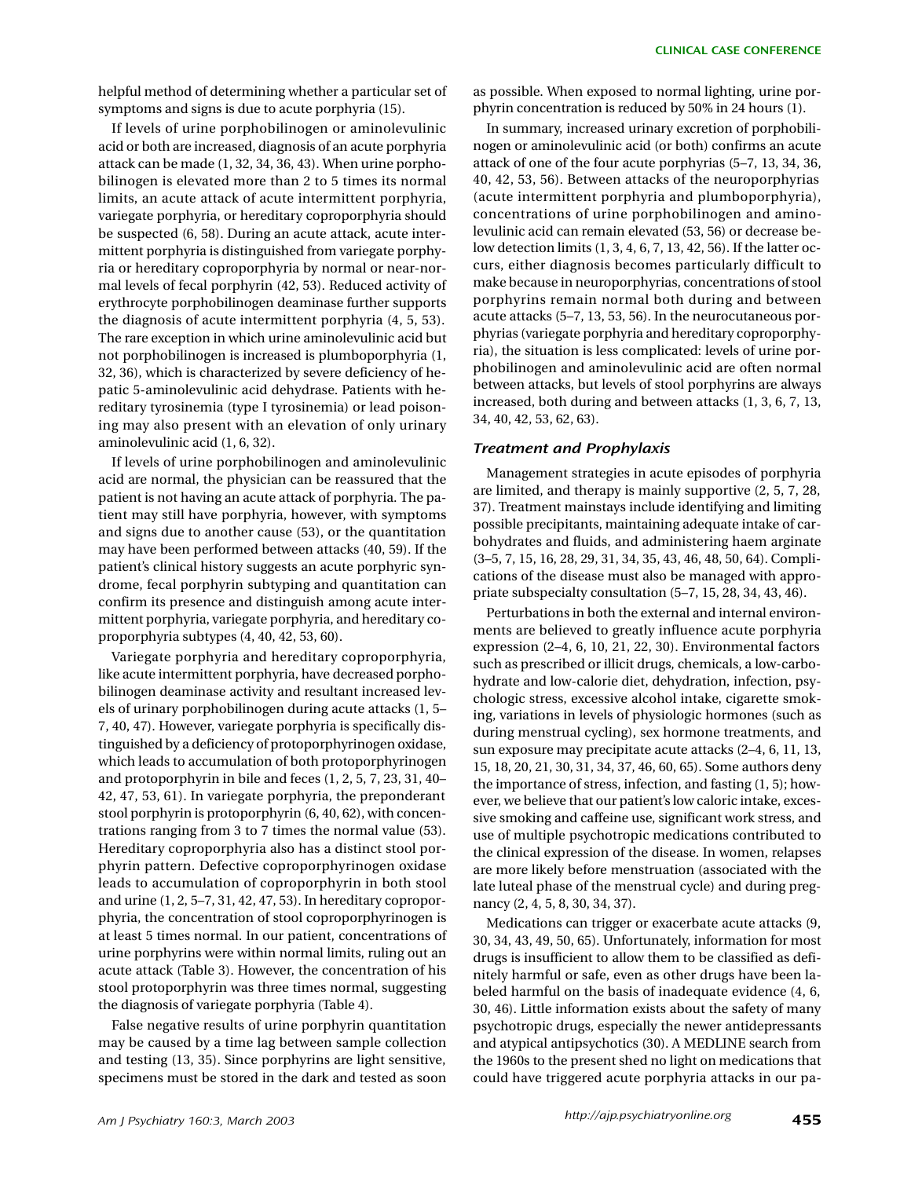helpful method of determining whether a particular set of symptoms and signs is due to acute porphyria (15).

If levels of urine porphobilinogen or aminolevulinic acid or both are increased, diagnosis of an acute porphyria attack can be made (1, 32, 34, 36, 43). When urine porphobilinogen is elevated more than 2 to 5 times its normal limits, an acute attack of acute intermittent porphyria, variegate porphyria, or hereditary coproporphyria should be suspected (6, 58). During an acute attack, acute intermittent porphyria is distinguished from variegate porphyria or hereditary coproporphyria by normal or near-normal levels of fecal porphyrin (42, 53). Reduced activity of erythrocyte porphobilinogen deaminase further supports the diagnosis of acute intermittent porphyria (4, 5, 53). The rare exception in which urine aminolevulinic acid but not porphobilinogen is increased is plumboporphyria (1, 32, 36), which is characterized by severe deficiency of hepatic 5-aminolevulinic acid dehydrase. Patients with hereditary tyrosinemia (type I tyrosinemia) or lead poisoning may also present with an elevation of only urinary aminolevulinic acid (1, 6, 32).

If levels of urine porphobilinogen and aminolevulinic acid are normal, the physician can be reassured that the patient is not having an acute attack of porphyria. The patient may still have porphyria, however, with symptoms and signs due to another cause (53), or the quantitation may have been performed between attacks (40, 59). If the patient's clinical history suggests an acute porphyric syndrome, fecal porphyrin subtyping and quantitation can confirm its presence and distinguish among acute intermittent porphyria, variegate porphyria, and hereditary coproporphyria subtypes (4, 40, 42, 53, 60).

Variegate porphyria and hereditary coproporphyria, like acute intermittent porphyria, have decreased porphobilinogen deaminase activity and resultant increased levels of urinary porphobilinogen during acute attacks (1, 5– 7, 40, 47). However, variegate porphyria is specifically distinguished by a deficiency of protoporphyrinogen oxidase, which leads to accumulation of both protoporphyrinogen and protoporphyrin in bile and feces (1, 2, 5, 7, 23, 31, 40– 42, 47, 53, 61). In variegate porphyria, the preponderant stool porphyrin is protoporphyrin (6, 40, 62), with concentrations ranging from 3 to 7 times the normal value (53). Hereditary coproporphyria also has a distinct stool porphyrin pattern. Defective coproporphyrinogen oxidase leads to accumulation of coproporphyrin in both stool and urine (1, 2, 5–7, 31, 42, 47, 53). In hereditary coproporphyria, the concentration of stool coproporphyrinogen is at least 5 times normal. In our patient, concentrations of urine porphyrins were within normal limits, ruling out an acute attack (Table 3). However, the concentration of his stool protoporphyrin was three times normal, suggesting the diagnosis of variegate porphyria (Table 4).

False negative results of urine porphyrin quantitation may be caused by a time lag between sample collection and testing (13, 35). Since porphyrins are light sensitive, specimens must be stored in the dark and tested as soon as possible. When exposed to normal lighting, urine porphyrin concentration is reduced by 50% in 24 hours (1).

In summary, increased urinary excretion of porphobilinogen or aminolevulinic acid (or both) confirms an acute attack of one of the four acute porphyrias (5–7, 13, 34, 36, 40, 42, 53, 56). Between attacks of the neuroporphyrias (acute intermittent porphyria and plumboporphyria), concentrations of urine porphobilinogen and aminolevulinic acid can remain elevated (53, 56) or decrease below detection limits (1, 3, 4, 6, 7, 13, 42, 56). If the latter occurs, either diagnosis becomes particularly difficult to make because in neuroporphyrias, concentrations of stool porphyrins remain normal both during and between acute attacks (5–7, 13, 53, 56). In the neurocutaneous porphyrias (variegate porphyria and hereditary coproporphyria), the situation is less complicated: levels of urine porphobilinogen and aminolevulinic acid are often normal between attacks, but levels of stool porphyrins are always increased, both during and between attacks (1, 3, 6, 7, 13, 34, 40, 42, 53, 62, 63).

## *Treatment and Prophylaxis*

Management strategies in acute episodes of porphyria are limited, and therapy is mainly supportive (2, 5, 7, 28, 37). Treatment mainstays include identifying and limiting possible precipitants, maintaining adequate intake of carbohydrates and fluids, and administering haem arginate (3–5, 7, 15, 16, 28, 29, 31, 34, 35, 43, 46, 48, 50, 64). Complications of the disease must also be managed with appropriate subspecialty consultation (5–7, 15, 28, 34, 43, 46).

Perturbations in both the external and internal environments are believed to greatly influence acute porphyria expression (2–4, 6, 10, 21, 22, 30). Environmental factors such as prescribed or illicit drugs, chemicals, a low-carbohydrate and low-calorie diet, dehydration, infection, psychologic stress, excessive alcohol intake, cigarette smoking, variations in levels of physiologic hormones (such as during menstrual cycling), sex hormone treatments, and sun exposure may precipitate acute attacks (2–4, 6, 11, 13, 15, 18, 20, 21, 30, 31, 34, 37, 46, 60, 65). Some authors deny the importance of stress, infection, and fasting (1, 5); however, we believe that our patient's low caloric intake, excessive smoking and caffeine use, significant work stress, and use of multiple psychotropic medications contributed to the clinical expression of the disease. In women, relapses are more likely before menstruation (associated with the late luteal phase of the menstrual cycle) and during pregnancy (2, 4, 5, 8, 30, 34, 37).

Medications can trigger or exacerbate acute attacks (9, 30, 34, 43, 49, 50, 65). Unfortunately, information for most drugs is insufficient to allow them to be classified as definitely harmful or safe, even as other drugs have been labeled harmful on the basis of inadequate evidence (4, 6, 30, 46). Little information exists about the safety of many psychotropic drugs, especially the newer antidepressants and atypical antipsychotics (30). A MEDLINE search from the 1960s to the present shed no light on medications that could have triggered acute porphyria attacks in our pa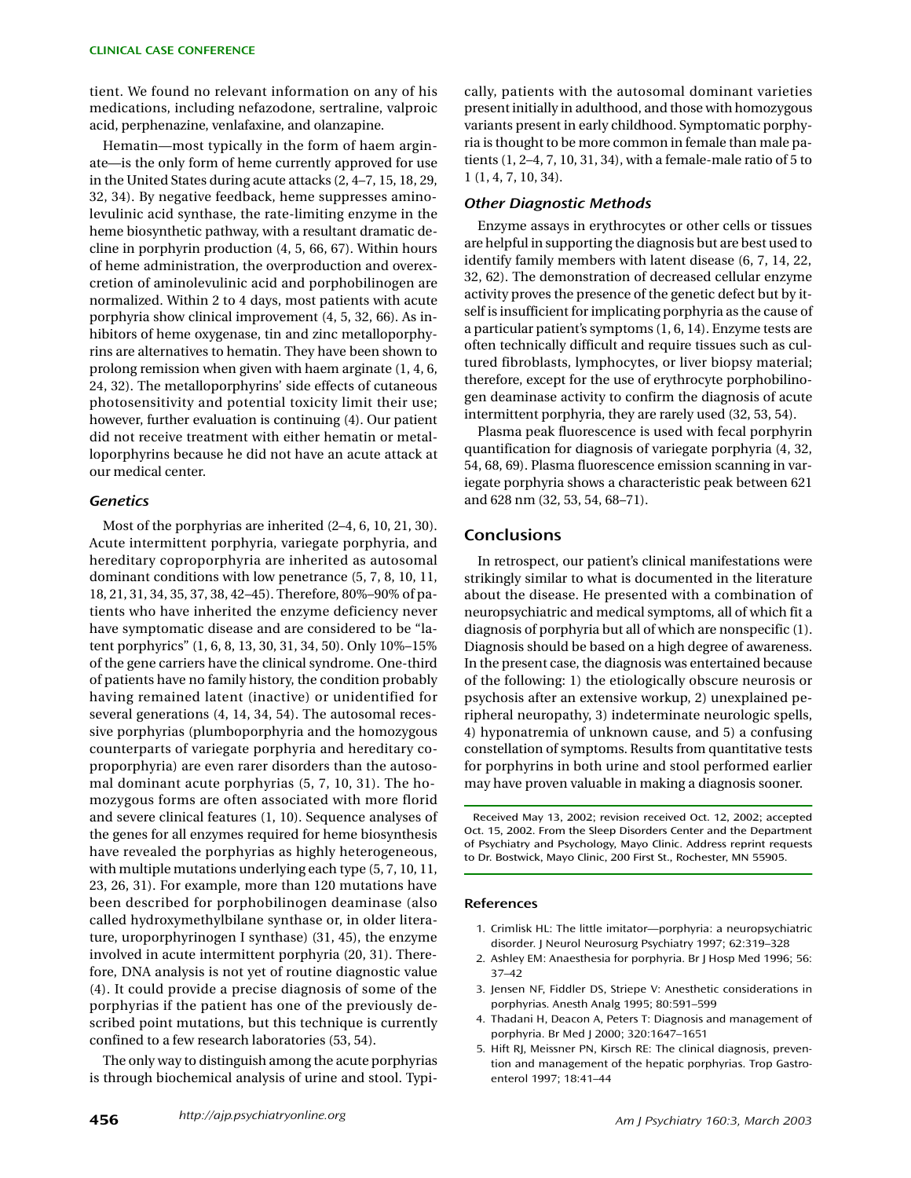tient. We found no relevant information on any of his medications, including nefazodone, sertraline, valproic acid, perphenazine, venlafaxine, and olanzapine.

Hematin—most typically in the form of haem arginate—is the only form of heme currently approved for use in the United States during acute attacks (2, 4–7, 15, 18, 29, 32, 34). By negative feedback, heme suppresses aminolevulinic acid synthase, the rate-limiting enzyme in the heme biosynthetic pathway, with a resultant dramatic decline in porphyrin production (4, 5, 66, 67). Within hours of heme administration, the overproduction and overexcretion of aminolevulinic acid and porphobilinogen are normalized. Within 2 to 4 days, most patients with acute porphyria show clinical improvement (4, 5, 32, 66). As inhibitors of heme oxygenase, tin and zinc metalloporphyrins are alternatives to hematin. They have been shown to prolong remission when given with haem arginate (1, 4, 6, 24, 32). The metalloporphyrins' side effects of cutaneous photosensitivity and potential toxicity limit their use; however, further evaluation is continuing (4). Our patient did not receive treatment with either hematin or metalloporphyrins because he did not have an acute attack at our medical center.

### *Genetics*

Most of the porphyrias are inherited (2–4, 6, 10, 21, 30). Acute intermittent porphyria, variegate porphyria, and hereditary coproporphyria are inherited as autosomal dominant conditions with low penetrance (5, 7, 8, 10, 11, 18, 21, 31, 34, 35, 37, 38, 42–45). Therefore, 80%–90% of patients who have inherited the enzyme deficiency never have symptomatic disease and are considered to be "latent porphyrics" (1, 6, 8, 13, 30, 31, 34, 50). Only 10%–15% of the gene carriers have the clinical syndrome. One-third of patients have no family history, the condition probably having remained latent (inactive) or unidentified for several generations (4, 14, 34, 54). The autosomal recessive porphyrias (plumboporphyria and the homozygous counterparts of variegate porphyria and hereditary coproporphyria) are even rarer disorders than the autosomal dominant acute porphyrias (5, 7, 10, 31). The homozygous forms are often associated with more florid and severe clinical features (1, 10). Sequence analyses of the genes for all enzymes required for heme biosynthesis have revealed the porphyrias as highly heterogeneous, with multiple mutations underlying each type (5, 7, 10, 11, 23, 26, 31). For example, more than 120 mutations have been described for porphobilinogen deaminase (also called hydroxymethylbilane synthase or, in older literature, uroporphyrinogen I synthase) (31, 45), the enzyme involved in acute intermittent porphyria (20, 31). Therefore, DNA analysis is not yet of routine diagnostic value (4). It could provide a precise diagnosis of some of the porphyrias if the patient has one of the previously described point mutations, but this technique is currently confined to a few research laboratories (53, 54).

The only way to distinguish among the acute porphyrias is through biochemical analysis of urine and stool. Typically, patients with the autosomal dominant varieties present initially in adulthood, and those with homozygous variants present in early childhood. Symptomatic porphyria is thought to be more common in female than male patients (1, 2–4, 7, 10, 31, 34), with a female-male ratio of 5 to 1 (1, 4, 7, 10, 34).

#### *Other Diagnostic Methods*

Enzyme assays in erythrocytes or other cells or tissues are helpful in supporting the diagnosis but are best used to identify family members with latent disease (6, 7, 14, 22, 32, 62). The demonstration of decreased cellular enzyme activity proves the presence of the genetic defect but by itself is insufficient for implicating porphyria as the cause of a particular patient's symptoms (1, 6, 14). Enzyme tests are often technically difficult and require tissues such as cultured fibroblasts, lymphocytes, or liver biopsy material; therefore, except for the use of erythrocyte porphobilinogen deaminase activity to confirm the diagnosis of acute intermittent porphyria, they are rarely used (32, 53, 54).

Plasma peak fluorescence is used with fecal porphyrin quantification for diagnosis of variegate porphyria (4, 32, 54, 68, 69). Plasma fluorescence emission scanning in variegate porphyria shows a characteristic peak between 621 and 628 nm (32, 53, 54, 68–71).

# **Conclusions**

In retrospect, our patient's clinical manifestations were strikingly similar to what is documented in the literature about the disease. He presented with a combination of neuropsychiatric and medical symptoms, all of which fit a diagnosis of porphyria but all of which are nonspecific (1). Diagnosis should be based on a high degree of awareness. In the present case, the diagnosis was entertained because of the following: 1) the etiologically obscure neurosis or psychosis after an extensive workup, 2) unexplained peripheral neuropathy, 3) indeterminate neurologic spells, 4) hyponatremia of unknown cause, and 5) a confusing constellation of symptoms. Results from quantitative tests for porphyrins in both urine and stool performed earlier may have proven valuable in making a diagnosis sooner.

Received May 13, 2002; revision received Oct. 12, 2002; accepted Oct. 15, 2002. From the Sleep Disorders Center and the Department of Psychiatry and Psychology, Mayo Clinic. Address reprint requests to Dr. Bostwick, Mayo Clinic, 200 First St., Rochester, MN 55905.

#### **References**

- 1. Crimlisk HL: The little imitator—porphyria: a neuropsychiatric disorder. J Neurol Neurosurg Psychiatry 1997; 62:319–328
- 2. Ashley EM: Anaesthesia for porphyria. Br J Hosp Med 1996; 56: 37–42
- 3. Jensen NF, Fiddler DS, Striepe V: Anesthetic considerations in porphyrias. Anesth Analg 1995; 80:591–599
- 4. Thadani H, Deacon A, Peters T: Diagnosis and management of porphyria. Br Med J 2000; 320:1647–1651
- 5. Hift RJ, Meissner PN, Kirsch RE: The clinical diagnosis, prevention and management of the hepatic porphyrias. Trop Gastroenterol 1997; 18:41–44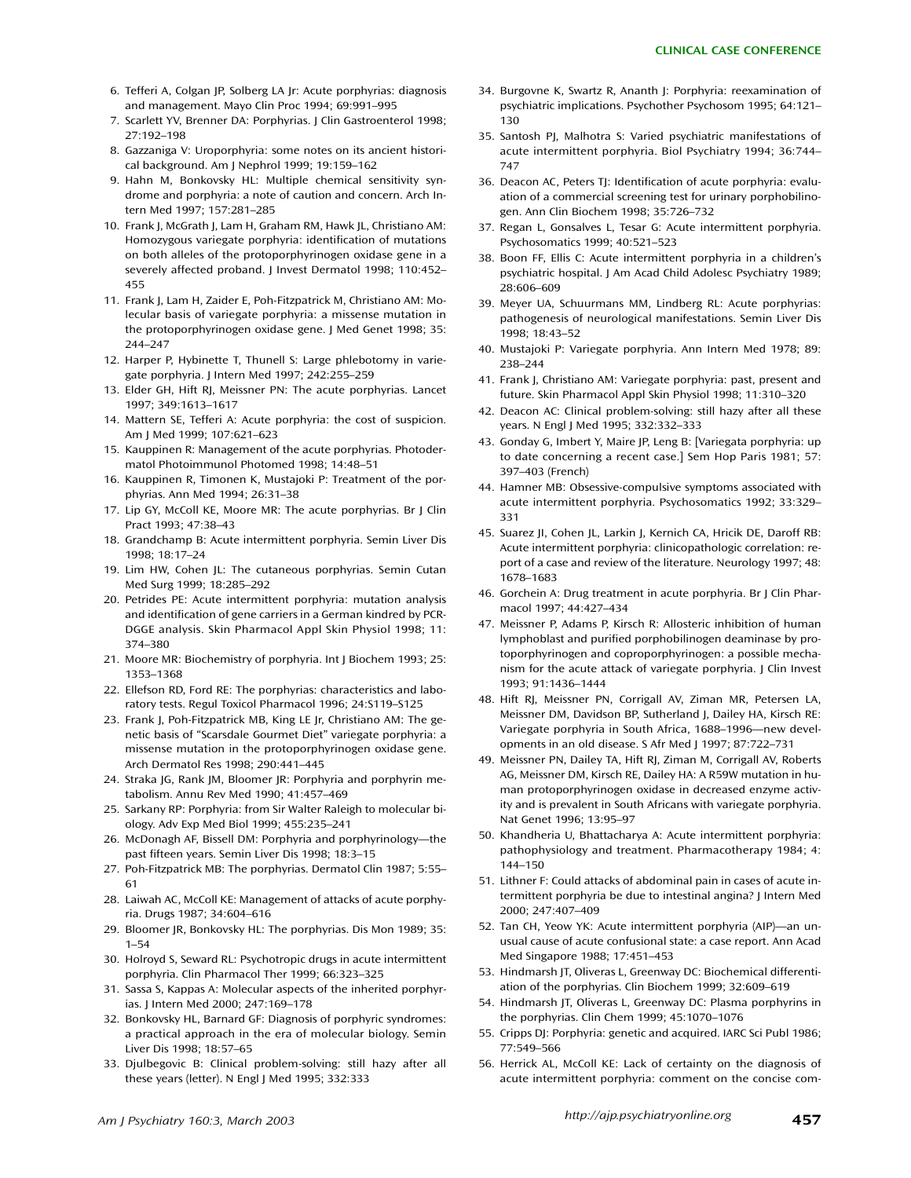- 6. Tefferi A, Colgan JP, Solberg LA Jr: Acute porphyrias: diagnosis and management. Mayo Clin Proc 1994; 69:991–995
- 7. Scarlett YV, Brenner DA: Porphyrias. J Clin Gastroenterol 1998; 27:192–198
- 8. Gazzaniga V: Uroporphyria: some notes on its ancient historical background. Am J Nephrol 1999; 19:159–162
- 9. Hahn M, Bonkovsky HL: Multiple chemical sensitivity syndrome and porphyria: a note of caution and concern. Arch Intern Med 1997; 157:281–285
- 10. Frank J, McGrath J, Lam H, Graham RM, Hawk JL, Christiano AM: Homozygous variegate porphyria: identification of mutations on both alleles of the protoporphyrinogen oxidase gene in a severely affected proband. J Invest Dermatol 1998; 110:452– 455
- 11. Frank J, Lam H, Zaider E, Poh-Fitzpatrick M, Christiano AM: Molecular basis of variegate porphyria: a missense mutation in the protoporphyrinogen oxidase gene. J Med Genet 1998; 35: 244–247
- 12. Harper P, Hybinette T, Thunell S: Large phlebotomy in variegate porphyria. J Intern Med 1997; 242:255–259
- 13. Elder GH, Hift RJ, Meissner PN: The acute porphyrias. Lancet 1997; 349:1613–1617
- 14. Mattern SE, Tefferi A: Acute porphyria: the cost of suspicion. Am J Med 1999; 107:621–623
- 15. Kauppinen R: Management of the acute porphyrias. Photodermatol Photoimmunol Photomed 1998; 14:48–51
- 16. Kauppinen R, Timonen K, Mustajoki P: Treatment of the porphyrias. Ann Med 1994; 26:31–38
- 17. Lip GY, McColl KE, Moore MR: The acute porphyrias. Br J Clin Pract 1993; 47:38–43
- 18. Grandchamp B: Acute intermittent porphyria. Semin Liver Dis 1998; 18:17–24
- 19. Lim HW, Cohen JL: The cutaneous porphyrias. Semin Cutan Med Surg 1999; 18:285–292
- 20. Petrides PE: Acute intermittent porphyria: mutation analysis and identification of gene carriers in a German kindred by PCR-DGGE analysis. Skin Pharmacol Appl Skin Physiol 1998; 11: 374–380
- 21. Moore MR: Biochemistry of porphyria. Int J Biochem 1993; 25: 1353–1368
- 22. Ellefson RD, Ford RE: The porphyrias: characteristics and laboratory tests. Regul Toxicol Pharmacol 1996; 24:S119–S125
- 23. Frank J, Poh-Fitzpatrick MB, King LE Jr, Christiano AM: The genetic basis of "Scarsdale Gourmet Diet" variegate porphyria: a missense mutation in the protoporphyrinogen oxidase gene. Arch Dermatol Res 1998; 290:441–445
- 24. Straka JG, Rank JM, Bloomer JR: Porphyria and porphyrin metabolism. Annu Rev Med 1990; 41:457–469
- 25. Sarkany RP: Porphyria: from Sir Walter Raleigh to molecular biology. Adv Exp Med Biol 1999; 455:235–241
- 26. McDonagh AF, Bissell DM: Porphyria and porphyrinology—the past fifteen years. Semin Liver Dis 1998; 18:3–15
- 27. Poh-Fitzpatrick MB: The porphyrias. Dermatol Clin 1987; 5:55– 61
- 28. Laiwah AC, McColl KE: Management of attacks of acute porphyria. Drugs 1987; 34:604–616
- 29. Bloomer JR, Bonkovsky HL: The porphyrias. Dis Mon 1989; 35: 1–54
- 30. Holroyd S, Seward RL: Psychotropic drugs in acute intermittent porphyria. Clin Pharmacol Ther 1999; 66:323–325
- 31. Sassa S, Kappas A: Molecular aspects of the inherited porphyrias. J Intern Med 2000; 247:169–178
- 32. Bonkovsky HL, Barnard GF: Diagnosis of porphyric syndromes: a practical approach in the era of molecular biology. Semin Liver Dis 1998; 18:57–65
- 33. Djulbegovic B: Clinical problem-solving: still hazy after all these years (letter). N Engl J Med 1995; 332:333
- 34. Burgovne K, Swartz R, Ananth J: Porphyria: reexamination of psychiatric implications. Psychother Psychosom 1995; 64:121– 130
- 35. Santosh PJ, Malhotra S: Varied psychiatric manifestations of acute intermittent porphyria. Biol Psychiatry 1994; 36:744– 747
- 36. Deacon AC, Peters TJ: Identification of acute porphyria: evaluation of a commercial screening test for urinary porphobilinogen. Ann Clin Biochem 1998; 35:726–732
- 37. Regan L, Gonsalves L, Tesar G: Acute intermittent porphyria. Psychosomatics 1999; 40:521–523
- 38. Boon FF, Ellis C: Acute intermittent porphyria in a children's psychiatric hospital. J Am Acad Child Adolesc Psychiatry 1989; 28:606–609
- 39. Meyer UA, Schuurmans MM, Lindberg RL: Acute porphyrias: pathogenesis of neurological manifestations. Semin Liver Dis 1998; 18:43–52
- 40. Mustajoki P: Variegate porphyria. Ann Intern Med 1978; 89: 238–244
- 41. Frank J, Christiano AM: Variegate porphyria: past, present and future. Skin Pharmacol Appl Skin Physiol 1998; 11:310–320
- 42. Deacon AC: Clinical problem-solving: still hazy after all these years. N Engl J Med 1995; 332:332–333
- 43. Gonday G, Imbert Y, Maire JP, Leng B: [Variegata porphyria: up to date concerning a recent case.] Sem Hop Paris 1981; 57: 397–403 (French)
- 44. Hamner MB: Obsessive-compulsive symptoms associated with acute intermittent porphyria. Psychosomatics 1992; 33:329– 331
- 45. Suarez JI, Cohen JL, Larkin J, Kernich CA, Hricik DE, Daroff RB: Acute intermittent porphyria: clinicopathologic correlation: report of a case and review of the literature. Neurology 1997; 48: 1678–1683
- 46. Gorchein A: Drug treatment in acute porphyria. Br J Clin Pharmacol 1997; 44:427–434
- 47. Meissner P, Adams P, Kirsch R: Allosteric inhibition of human lymphoblast and purified porphobilinogen deaminase by protoporphyrinogen and coproporphyrinogen: a possible mechanism for the acute attack of variegate porphyria. J Clin Invest 1993; 91:1436–1444
- 48. Hift RJ, Meissner PN, Corrigall AV, Ziman MR, Petersen LA, Meissner DM, Davidson BP, Sutherland J, Dailey HA, Kirsch RE: Variegate porphyria in South Africa, 1688–1996—new developments in an old disease. S Afr Med J 1997; 87:722–731
- 49. Meissner PN, Dailey TA, Hift RJ, Ziman M, Corrigall AV, Roberts AG, Meissner DM, Kirsch RE, Dailey HA: A R59W mutation in human protoporphyrinogen oxidase in decreased enzyme activity and is prevalent in South Africans with variegate porphyria. Nat Genet 1996; 13:95–97
- 50. Khandheria U, Bhattacharya A: Acute intermittent porphyria: pathophysiology and treatment. Pharmacotherapy 1984; 4: 144–150
- 51. Lithner F: Could attacks of abdominal pain in cases of acute intermittent porphyria be due to intestinal angina? I Intern Med 2000; 247:407–409
- 52. Tan CH, Yeow YK: Acute intermittent porphyria (AIP)—an unusual cause of acute confusional state: a case report. Ann Acad Med Singapore 1988; 17:451–453
- 53. Hindmarsh JT, Oliveras L, Greenway DC: Biochemical differentiation of the porphyrias. Clin Biochem 1999; 32:609–619
- 54. Hindmarsh JT, Oliveras L, Greenway DC: Plasma porphyrins in the porphyrias. Clin Chem 1999; 45:1070–1076
- 55. Cripps DJ: Porphyria: genetic and acquired. IARC Sci Publ 1986; 77:549–566
- 56. Herrick AL, McColl KE: Lack of certainty on the diagnosis of acute intermittent porphyria: comment on the concise com-